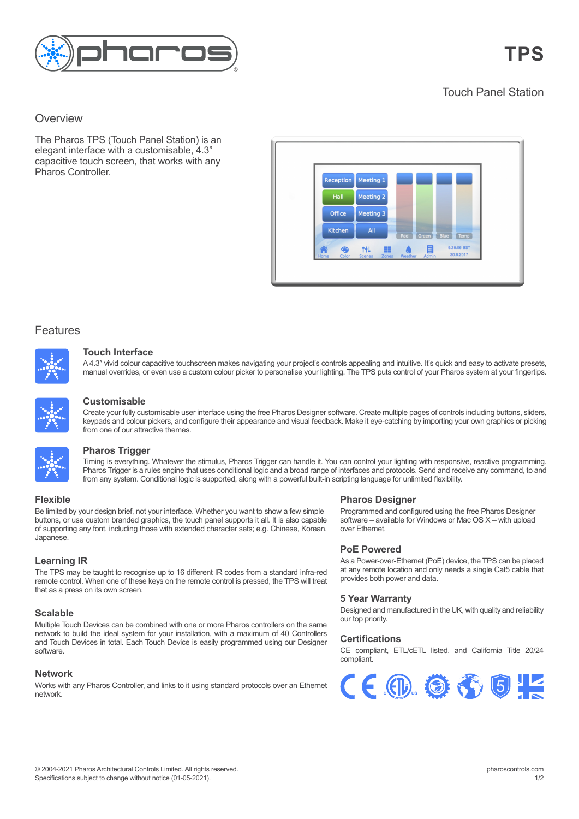

Touch Panel Station Touch Panel Station

## $T_{\rm eff}$  (Lighting Player) is  $T_{\rm eff}$  in  $P_{\rm eff}$ Overview enterprise control solution for control solution for control solution for control solution for control solution for control solution for control solution for control solution for control solution for control solut

The Pharos TPS (Touch Panel Station) is an elegant interface with a customisable, 4.3" capacitive touch screen, that works with any Pharos Controller.



## Features

Features



#### **Touch Interface** A 4.3″ video touchscreen makes navigating your projection makes navigating and intuitive. It is quick and easy to activate  $\alpha$ presets, manual over rides, or even use a custom colour picker to personalise your picker to personalise your lighting. The TPS puts control of your Pharos system at your Pharos system at your Pharos system at your Pharos

A 4.5 whild colour capachive touchscreen makes navigating your projects controls appealing and intuitive. It's quick and easy to activate presets,<br>manual overrides, or even use a custom colour picker to personalise your li Design the big picture; control every pixel. Create a map of your fixtures within the Designer software, then use Pharos Mapping to create A 4.3" vivid colour capacitive touchscreen makes navigating your project's controls appealing and intuitive. It's quick and easy to activate presets,



#### $\Omega$  maps can be contributed to support different views or for  $\Omega$  modelling different views of  $\Omega$ **Customisable**  $s_{\text{min}}$  and configure their appearance and visual feedback. Make it eye-catching  $s_{\text{min}}$

*Preate your fully cust* keypads and colour pickers, and configure their appearance and visual feedback. Make it eye-catching by importing your own graphics or picking<br>from one of our attractive themes Pharos Trigger is a rules engine that uses conditional logic and a broad range of interfaces and protocols. Send and receive any command, to **Customnsable**<br>Create your fully customisable user interface using the free Pharos Designer software. Create multiple pages of controls including buttons, sliders, from one of our attractive themes.  $T$  on our alliactive the stimulus.



### and from any system. Conditional logic is supported, along with a powerful built-in scripting language for unlimited flexibility. **Pharos Trigger** and from any system. Conditional logic is supported for unlimited flexibility. The powerful built-in scripting language for unlimited flexibility. The powerful built-in scripting language for unlimited fle

from any system. Conditional logic is supported, along with a powerful built-in scripting language for unlimited flexibility. together to work as one via a standard Ethernet network giving impressive scalability. For **Pharos Trigger is a rules engine that uses conditional logic and a broad range of interfaces and protocols. Send and receive any command, to and <b>Pharos Trigger** is a rules engine that uses conditional logic and a broad r software – available for Windows or Mac OS X – with upload Timing is everything. Whatever the stimulus, Pharos Trigger can handle it. You can control your lighting with responsive, reactive programming.

#### additional integration options simply add Remote Devices to further extend the network. When  $C$  is all easily programmed using our Designer software. The software software software software. The software software software software software software software software software software software software softwa of supporting any font, including those with extended character sets; e.g.  $\mathcal{L}$

**buttons, or use custom branded graphics, the touch panel supports it all. It is also capable of current in the state of the state of the state of the state of the state of the state of the state of the state of the state** of supporting any font, including those with extended character sets; e.g. Chinese, Korean,<br>Jananese  $\alpha$  different fixture types and can output multiple  $\alpha$ Be limited by your design brief, not your interface. Whether you want to show a few simple Korean, Japanese. Japanese. remote control. When one of these keys on the remote control is pressed, the TPS will treat

## **Learning IR**

remote control. When one of these keys on the remote control is pressed, the TPS will treat that as a press on its own screen. The TPS may be taught to recognise up to 16 different IR codes from a standard infra-red **Scalable** Multiple Touch Touch Devices can be completed with a standard initial education of the same Pharos control of the same pharmament of the same pharmament of the same pharmament of the same pharmament of the same pharmament

#### The built-in web server lets you check the Controller's status, inputs and outputs, trigger  $\sigma$ timelines, view a function  $\sigma$ **Scalable**

network to build the ideal system for your installation, with a maximum of 40 Controllers **numerical system** of the new states of the states of the states of the states of the states of the states of the states of the stat and Touch Devices in total. Each Touch Device is easily programmed using our Designer<br>software  $n_{\rm E}$ **SCATADIE**<br>Multiple Touch Devices can be combined with one or more Pharos controllers on the same software. ouch Devices can be combined with one or more Pharos controllers on the same

## **Network**

Works with any Pharos Controller, and links to it using standard protocols over an Ethernet network.

# **Flexible Pharos Designer**

**Programmed and configured using the free Pharos Designer** software – available for Windows or Mac OS X – with upload<br>Aker Ethernet  $\sigma$  left on site. Rugged, compact unit designed for  $24/77$ over Ethernet.  $p$  remote location and only needs a single  $p$  single  $C$  single  $C$  single  $C$ 

# **PoE Powered**

As a Power-over-Ethernet (PoE) device, the TPS can be placed at any remote location and only needs a single Cat5 cable that at any remote redator and emy needs<br>provides both power and data.

### **5 Year Warranty**  $\alpha$  real violinarity

Designed and manufactured in the UK, with quality and reliability our top priority.

## **Certifications Certifications**

CE compliant, ETL/cETL listed, and California Title 20/24 CE compliant, ETL/cETL listed, and California Title 20/24 compliant. compliant.